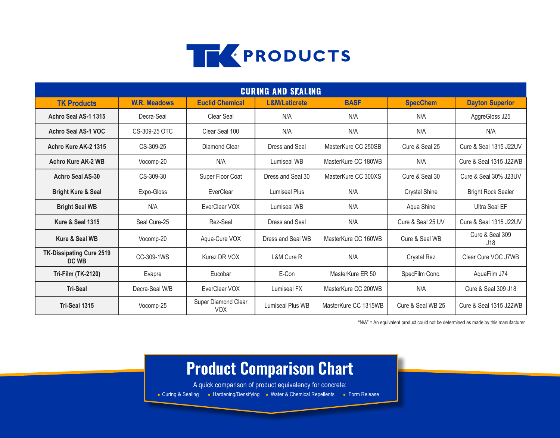

| <b>CURING AND SEALING</b>                |                     |                                   |                          |                      |                      |                                |  |
|------------------------------------------|---------------------|-----------------------------------|--------------------------|----------------------|----------------------|--------------------------------|--|
| <b>TK Products</b>                       | <b>W.R. Meadows</b> | <b>Euclid Chemical</b>            | <b>L&amp;M/Laticrete</b> | <b>BASF</b>          | <b>SpecChem</b>      | <b>Dayton Superior</b>         |  |
| Achro Seal AS-1 1315                     | Decra-Seal          | Clear Seal                        | N/A                      | N/A                  | N/A                  | AggreGloss J25                 |  |
| Achro Seal AS-1 VOC                      | CS-309-25 OTC       | Clear Seal 100                    | N/A                      | N/A                  | N/A                  | N/A                            |  |
| Achro Kure AK-2 1315                     | CS-309-25           | Diamond Clear                     | Dress and Seal           | MasterKure CC 250SB  | Cure & Seal 25       | Cure & Seal 1315 J22UV         |  |
| <b>Achro Kure AK-2 WB</b>                | Vocomp-20           | N/A                               | Lumiseal WB              | MasterKure CC 180WB  | N/A                  | Cure & Seal 1315 J22WB         |  |
| <b>Achro Seal AS-30</b>                  | CS-309-30           | Super Floor Coat                  | Dress and Seal 30        | MasterKure CC 300XS  | Cure & Seal 30       | Cure & Seal 30% J23UV          |  |
| <b>Bright Kure &amp; Seal</b>            | Expo-Gloss          | EverClear                         | <b>Lumiseal Plus</b>     | N/A                  | <b>Crystal Shine</b> | <b>Bright Rock Sealer</b>      |  |
| <b>Bright Seal WB</b>                    | N/A                 | EverClear VOX                     | Lumiseal WB              | N/A                  | Aqua Shine           | <b>Ultra Seal EF</b>           |  |
| <b>Kure &amp; Seal 1315</b>              | Seal Cure-25        | Rez-Seal                          | Dress and Seal           | N/A                  | Cure & Seal 25 UV    | Cure & Seal 1315 J22UV         |  |
| Kure & Seal WB                           | Vocomp-20           | Aqua-Cure VOX                     | Dress and Seal WB        | MasterKure CC 160WB  | Cure & Seal WB       | Cure & Seal 309<br>J18         |  |
| <b>TK-Dissipating Cure 2519</b><br>DC WB | CC-309-1WS          | Kurez DR VOX                      | L&M Cure R               | N/A                  | <b>Crystal Rez</b>   | Clear Cure VOC J7WB            |  |
| <b>Tri-Film (TK-2120)</b>                | Evapre              | Eucobar                           | E-Con                    | MasterKure ER 50     | SpecFilm Conc.       | AquaFilm J74                   |  |
| <b>Tri-Seal</b>                          | Decra-Seal W/B      | EverClear VOX                     | Lumiseal FX              | MasterKure CC 200WB  | N/A                  | <b>Cure &amp; Seal 309 J18</b> |  |
| Tri-Seal 1315                            | Vocomp-25           | Super Diamond Clear<br><b>VOX</b> | <b>Lumiseal Plus WB</b>  | MasterKure CC 1315WB | Cure & Seal WB 25    | Cure & Seal 1315 J22WB         |  |

"N/A" = An equivalent product could not be determined as made by this manufacturer

## **Product Comparison Chart**

A quick comparison of product equivalency for concrete:

• Curing & Sealing • Hardening/Densifying • Water & Chemical Repellents • Form Release